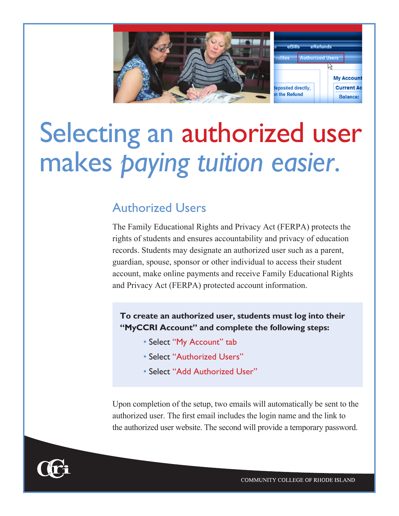

# Selecting an authorized user makes *paying tuition easier*.

## Authorized Users

The Family Educational Rights and Privacy Act (FERPA) protects the rights of students and ensures accountability and privacy of education records. Students may designate an authorized user such as a parent, guardian, spouse, sponsor or other individual to access their student account, make online payments and receive Family Educational Rights and Privacy Act (FERPA) protected account information.

**To create an authorized user, students must log into their "MyCCRI Account" and complete the following steps:**

- Select "My Account" tab
- Select "Authorized Users"
- Select "Add Authorized User"

Upon completion of the setup, two emails will automatically be sent to the authorized user. The first email includes the login name and the link to the authorized user website. The second will provide a temporary password.